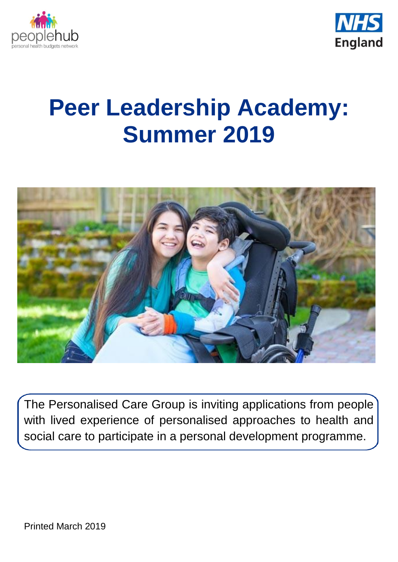



# **Peer Leadership Academy: Summer 2019**



The Personalised Care Group is inviting applications from people with lived experience of personalised approaches to health and social care to participate in a personal development programme.

Printed March 2019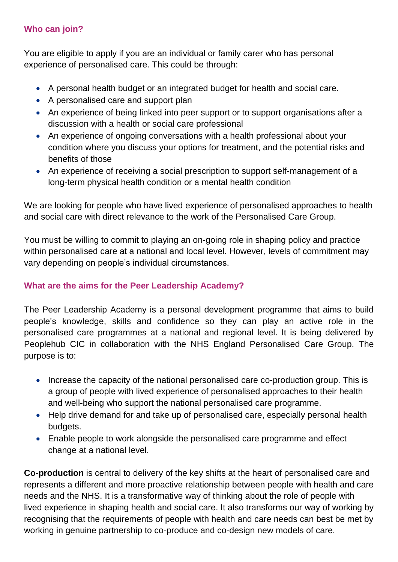# **Who can join?**

You are eligible to apply if you are an individual or family carer who has personal experience of personalised care. This could be through:

- A personal health budget or an integrated budget for health and social care.
- A personalised care and support plan
- An experience of being linked into peer support or to support organisations after a discussion with a health or social care professional
- An experience of ongoing conversations with a health professional about your condition where you discuss your options for treatment, and the potential risks and benefits of those
- An experience of receiving a social prescription to support self-management of a long-term physical health condition or a mental health condition

We are looking for people who have lived experience of personalised approaches to health and social care with direct relevance to the work of the Personalised Care Group.

You must be willing to commit to playing an on-going role in shaping policy and practice within personalised care at a national and local level. However, levels of commitment may vary depending on people's individual circumstances.

# **What are the aims for the Peer Leadership Academy?**

The Peer Leadership Academy is a personal development programme that aims to build people's knowledge, skills and confidence so they can play an active role in the personalised care programmes at a national and regional level. It is being delivered by Peoplehub CIC in collaboration with the NHS England Personalised Care Group. The purpose is to:

- Increase the capacity of the national personalised care co-production group. This is a group of people with lived experience of personalised approaches to their health and well-being who support the national personalised care programme.
- Help drive demand for and take up of personalised care, especially personal health budgets.
- Enable people to work alongside the personalised care programme and effect change at a national level.

**Co-production** is central to delivery of the key shifts at the heart of personalised care and represents a different and more proactive relationship between people with health and care needs and the NHS. It is a transformative way of thinking about the role of people with lived experience in shaping health and social care. It also transforms our way of working by recognising that the requirements of people with health and care needs can best be met by working in genuine partnership to co-produce and co-design new models of care.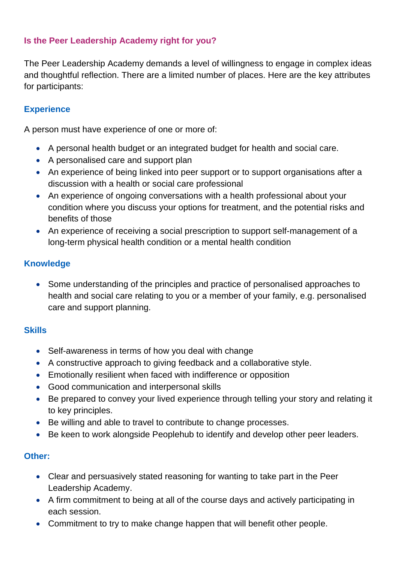# **Is the Peer Leadership Academy right for you?**

The Peer Leadership Academy demands a level of willingness to engage in complex ideas and thoughtful reflection. There are a limited number of places. Here are the key attributes for participants:

## **Experience**

A person must have experience of one or more of:

- A personal health budget or an integrated budget for health and social care.
- A personalised care and support plan
- An experience of being linked into peer support or to support organisations after a discussion with a health or social care professional
- An experience of ongoing conversations with a health professional about your condition where you discuss your options for treatment, and the potential risks and benefits of those
- An experience of receiving a social prescription to support self-management of a long-term physical health condition or a mental health condition

## **Knowledge**

 Some understanding of the principles and practice of personalised approaches to health and social care relating to you or a member of your family, e.g. personalised care and support planning.

## **Skills**

- Self-awareness in terms of how you deal with change
- A constructive approach to giving feedback and a collaborative style.
- Emotionally resilient when faced with indifference or opposition
- Good communication and interpersonal skills
- Be prepared to convey your lived experience through telling your story and relating it to key principles.
- Be willing and able to travel to contribute to change processes.
- Be keen to work alongside Peoplehub to identify and develop other peer leaders.

## **Other:**

- Clear and persuasively stated reasoning for wanting to take part in the Peer Leadership Academy.
- A firm commitment to being at all of the course days and actively participating in each session.
- Commitment to try to make change happen that will benefit other people.